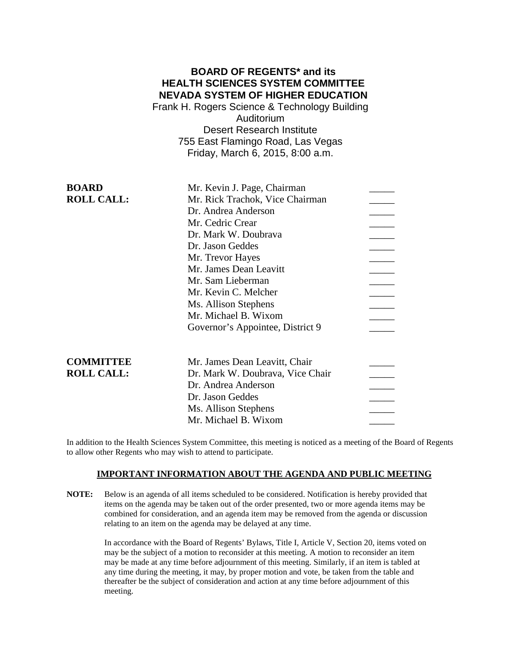# **BOARD OF REGENTS\* and its HEALTH SCIENCES SYSTEM COMMITTEE NEVADA SYSTEM OF HIGHER EDUCATION**

Frank H. Rogers Science & Technology Building Auditorium Desert Research Institute 755 East Flamingo Road, Las Vegas Friday, March 6, 2015, 8:00 a.m.

| <b>BOARD</b>      | Mr. Kevin J. Page, Chairman      |  |
|-------------------|----------------------------------|--|
| <b>ROLL CALL:</b> | Mr. Rick Trachok, Vice Chairman  |  |
|                   | Dr. Andrea Anderson              |  |
|                   | Mr. Cedric Crear                 |  |
|                   | Dr. Mark W. Doubrava             |  |
|                   | Dr. Jason Geddes                 |  |
|                   | Mr. Trevor Hayes                 |  |
|                   | Mr. James Dean Leavitt           |  |
|                   | Mr. Sam Lieberman                |  |
|                   | Mr. Kevin C. Melcher             |  |
|                   | Ms. Allison Stephens             |  |
|                   | Mr. Michael B. Wixom             |  |
|                   | Governor's Appointee, District 9 |  |
| <b>COMMITTEE</b>  | Mr. James Dean Leavitt, Chair    |  |
| <b>ROLL CALL:</b> | Dr. Mark W. Doubrava, Vice Chair |  |
|                   | Dr. Andrea Anderson              |  |
|                   | Dr. Jason Geddes                 |  |
|                   | Ms. Allison Stephens             |  |
|                   | Mr. Michael B. Wixom             |  |
|                   |                                  |  |

In addition to the Health Sciences System Committee, this meeting is noticed as a meeting of the Board of Regents to allow other Regents who may wish to attend to participate.

### **IMPORTANT INFORMATION ABOUT THE AGENDA AND PUBLIC MEETING**

**NOTE:** Below is an agenda of all items scheduled to be considered. Notification is hereby provided that items on the agenda may be taken out of the order presented, two or more agenda items may be combined for consideration, and an agenda item may be removed from the agenda or discussion relating to an item on the agenda may be delayed at any time.

> In accordance with the Board of Regents' Bylaws, Title I, Article V, Section 20, items voted on may be the subject of a motion to reconsider at this meeting. A motion to reconsider an item may be made at any time before adjournment of this meeting. Similarly, if an item is tabled at any time during the meeting, it may, by proper motion and vote, be taken from the table and thereafter be the subject of consideration and action at any time before adjournment of this meeting.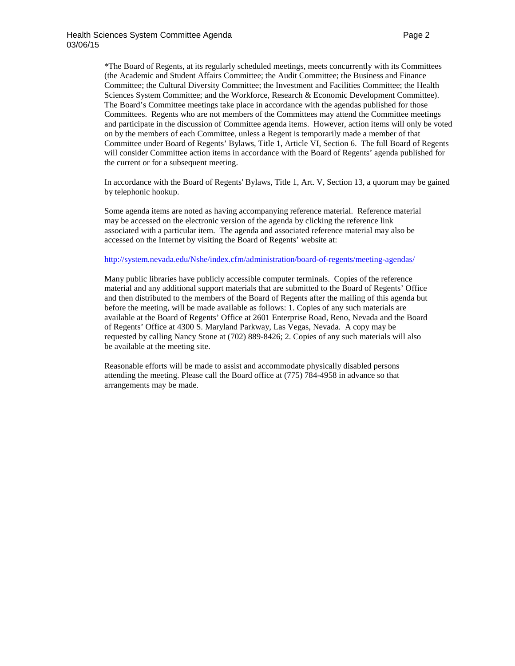\*The Board of Regents, at its regularly scheduled meetings, meets concurrently with its Committees (the Academic and Student Affairs Committee; the Audit Committee; the Business and Finance Committee; the Cultural Diversity Committee; the Investment and Facilities Committee; the Health Sciences System Committee; and the Workforce, Research & Economic Development Committee). The Board's Committee meetings take place in accordance with the agendas published for those Committees. Regents who are not members of the Committees may attend the Committee meetings and participate in the discussion of Committee agenda items. However, action items will only be voted on by the members of each Committee, unless a Regent is temporarily made a member of that Committee under Board of Regents' Bylaws, Title 1, Article VI, Section 6. The full Board of Regents will consider Committee action items in accordance with the Board of Regents' agenda published for the current or for a subsequent meeting.

In accordance with the Board of Regents' Bylaws, Title 1, Art. V, Section 13, a quorum may be gained by telephonic hookup.

Some agenda items are noted as having accompanying reference material. Reference material may be accessed on the electronic version of the agenda by clicking the reference link associated with a particular item. The agenda and associated reference material may also be accessed on the Internet by visiting the Board of Regents' website at:

### <http://system.nevada.edu/Nshe/index.cfm/administration/board-of-regents/meeting-agendas/>

Many public libraries have publicly accessible computer terminals. Copies of the reference material and any additional support materials that are submitted to the Board of Regents' Office and then distributed to the members of the Board of Regents after the mailing of this agenda but before the meeting, will be made available as follows: 1. Copies of any such materials are available at the Board of Regents' Office at 2601 Enterprise Road, Reno, Nevada and the Board of Regents' Office at 4300 S. Maryland Parkway, Las Vegas, Nevada. A copy may be requested by calling Nancy Stone at (702) 889-8426; 2. Copies of any such materials will also be available at the meeting site.

Reasonable efforts will be made to assist and accommodate physically disabled persons attending the meeting. Please call the Board office at (775) 784-4958 in advance so that arrangements may be made.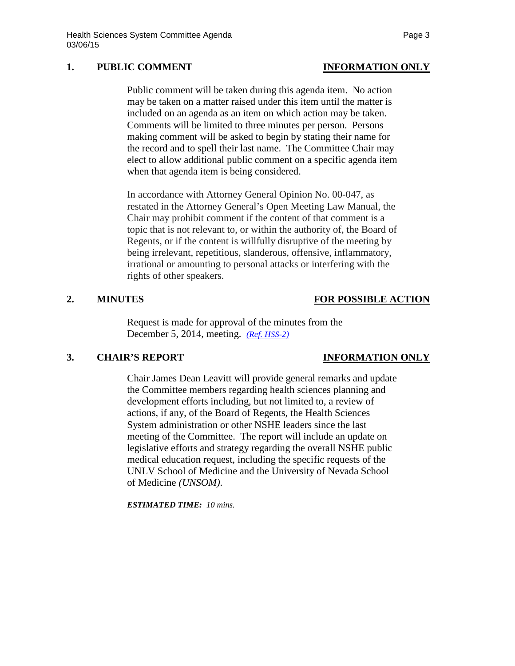## **1. PUBLIC COMMENT INFORMATION ONLY**

Public comment will be taken during this agenda item. No action may be taken on a matter raised under this item until the matter is included on an agenda as an item on which action may be taken. Comments will be limited to three minutes per person. Persons making comment will be asked to begin by stating their name for the record and to spell their last name. The Committee Chair may elect to allow additional public comment on a specific agenda item when that agenda item is being considered.

In accordance with Attorney General Opinion No. 00-047, as restated in the Attorney General's Open Meeting Law Manual, the Chair may prohibit comment if the content of that comment is a topic that is not relevant to, or within the authority of, the Board of Regents, or if the content is willfully disruptive of the meeting by being irrelevant, repetitious, slanderous, offensive, inflammatory, irrational or amounting to personal attacks or interfering with the rights of other speakers.

### **2. MINUTES FOR POSSIBLE ACTION**

Request is made for approval of the minutes from the December 5, 2014, meeting. *[\(Ref. HSS-2\)](http://system.nevada.edu/tasks/sites/Nshe/assets/File/BoardOfRegents/Agendas/2015/mar-mtgs/hss-refs/HSS-2.pdf)*

## **3. CHAIR'S REPORT INFORMATION ONLY**

Chair James Dean Leavitt will provide general remarks and update the Committee members regarding health sciences planning and development efforts including, but not limited to, a review of actions, if any, of the Board of Regents, the Health Sciences System administration or other NSHE leaders since the last meeting of the Committee. The report will include an update on legislative efforts and strategy regarding the overall NSHE public medical education request, including the specific requests of the UNLV School of Medicine and the University of Nevada School of Medicine *(UNSOM)*.

*ESTIMATED TIME: 10 mins.*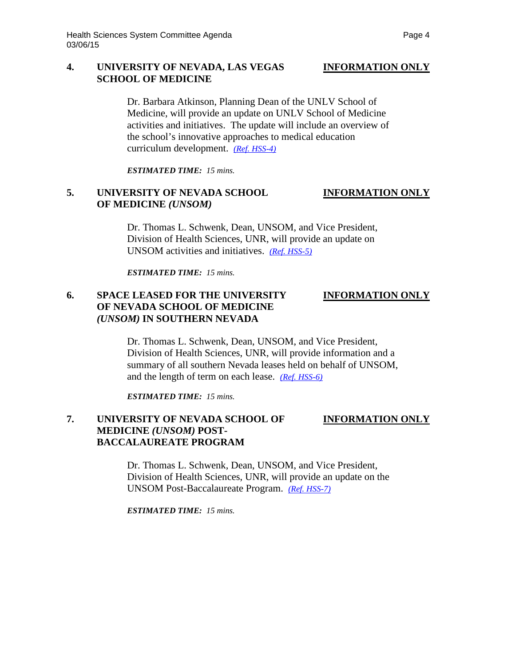### **4. UNIVERSITY OF NEVADA, LAS VEGAS INFORMATION ONLY SCHOOL OF MEDICINE**

Dr. Barbara Atkinson, Planning Dean of the UNLV School of Medicine, will provide an update on UNLV School of Medicine activities and initiatives. The update will include an overview of the school's innovative approaches to medical education curriculum development. *[\(Ref. HSS-4\)](http://system.nevada.edu/tasks/sites/Nshe/assets/File/BoardOfRegents/Agendas/2015/mar-mtgs/hss-refs/HSS-4.pdf)*

*ESTIMATED TIME: 15 mins.*

# **5. UNIVERSITY OF NEVADA SCHOOL INFORMATION ONLY OF MEDICINE** *(UNSOM)*

Dr. Thomas L. Schwenk, Dean, UNSOM, and Vice President, Division of Health Sciences, UNR, will provide an update on UNSOM activities and initiatives. *[\(Ref. HSS-5\)](http://system.nevada.edu/tasks/sites/Nshe/assets/File/BoardOfRegents/Agendas/2015/mar-mtgs/hss-refs/HSS-5.pdf)*

*ESTIMATED TIME: 15 mins.*

# **6. SPACE LEASED FOR THE UNIVERSITY INFORMATION ONLY OF NEVADA SCHOOL OF MEDICINE** *(UNSOM)* **IN SOUTHERN NEVADA**

Dr. Thomas L. Schwenk, Dean, UNSOM, and Vice President, Division of Health Sciences, UNR, will provide information and a summary of all southern Nevada leases held on behalf of UNSOM, and the length of term on each lease. *[\(Ref. HSS-6\)](http://system.nevada.edu/tasks/sites/Nshe/assets/File/BoardOfRegents/Agendas/2015/mar-mtgs/hss-refs/HSS-6.pdf)* 

*ESTIMATED TIME: 15 mins.*

# **7. UNIVERSITY OF NEVADA SCHOOL OF INFORMATION ONLY MEDICINE** *(UNSOM)* **POST-BACCALAUREATE PROGRAM**

Dr. Thomas L. Schwenk, Dean, UNSOM, and Vice President, Division of Health Sciences, UNR, will provide an update on the UNSOM Post-Baccalaureate Program. *[\(Ref. HSS-7\)](http://system.nevada.edu/tasks/sites/Nshe/assets/File/BoardOfRegents/Agendas/2015/mar-mtgs/hss-refs/HSS-7.pdf)*

*ESTIMATED TIME: 15 mins.*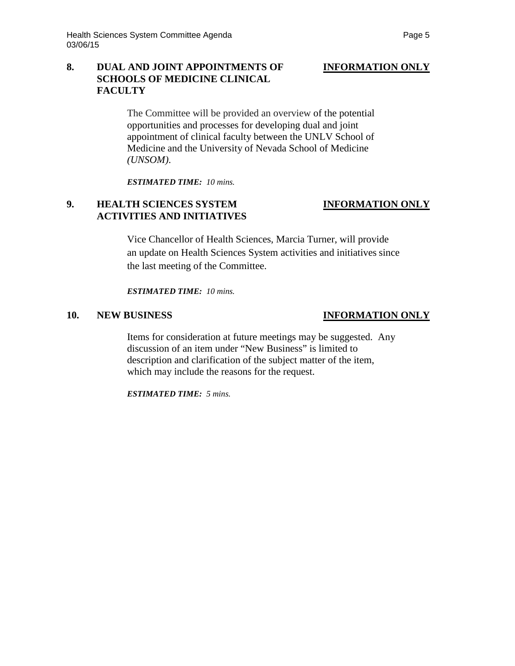# **8. DUAL AND JOINT APPOINTMENTS OF INFORMATION ONLY SCHOOLS OF MEDICINE CLINICAL FACULTY**

The Committee will be provided an overview of the potential opportunities and processes for developing dual and joint appointment of clinical faculty between the UNLV School of Medicine and the University of Nevada School of Medicine *(UNSOM)*.

*ESTIMATED TIME: 10 mins.*

# **9. HEALTH SCIENCES SYSTEM INFORMATION ONLY ACTIVITIES AND INITIATIVES**

Vice Chancellor of Health Sciences, Marcia Turner, will provide an update on Health Sciences System activities and initiatives since the last meeting of the Committee.

*ESTIMATED TIME: 10 mins.*

## **10. NEW BUSINESS INFORMATION ONLY**

Items for consideration at future meetings may be suggested. Any discussion of an item under "New Business" is limited to description and clarification of the subject matter of the item, which may include the reasons for the request.

*ESTIMATED TIME: 5 mins.*